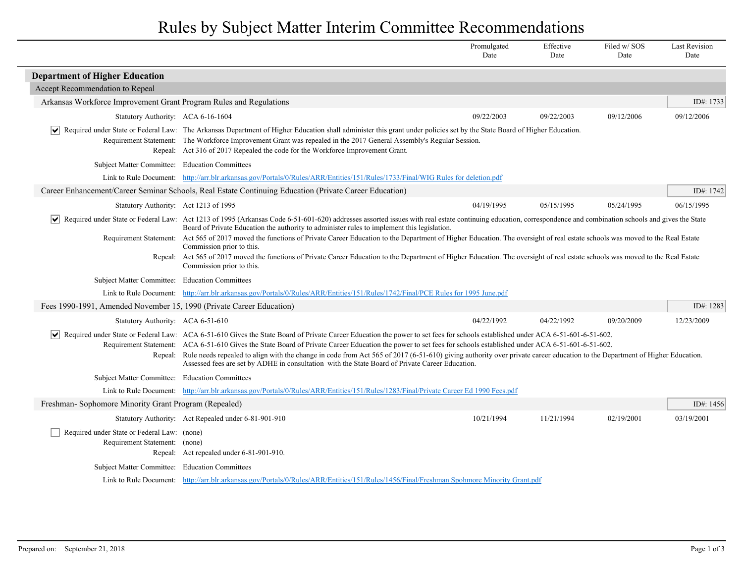## Rules by Subject Matter Interim Committee Recommendations

|                                                                              |                                                                                                                                                                                                                                                                                                                                                                                                                                                                                                                                                                                                                                                                                                                                                                | Promulgated<br>Date | Effective<br>Date | Filed w/SOS<br>Date | <b>Last Revision</b><br>Date |
|------------------------------------------------------------------------------|----------------------------------------------------------------------------------------------------------------------------------------------------------------------------------------------------------------------------------------------------------------------------------------------------------------------------------------------------------------------------------------------------------------------------------------------------------------------------------------------------------------------------------------------------------------------------------------------------------------------------------------------------------------------------------------------------------------------------------------------------------------|---------------------|-------------------|---------------------|------------------------------|
| <b>Department of Higher Education</b>                                        |                                                                                                                                                                                                                                                                                                                                                                                                                                                                                                                                                                                                                                                                                                                                                                |                     |                   |                     |                              |
| Accept Recommendation to Repeal                                              |                                                                                                                                                                                                                                                                                                                                                                                                                                                                                                                                                                                                                                                                                                                                                                |                     |                   |                     |                              |
| Arkansas Workforce Improvement Grant Program Rules and Regulations           |                                                                                                                                                                                                                                                                                                                                                                                                                                                                                                                                                                                                                                                                                                                                                                |                     |                   |                     | ID#: 1733                    |
| Statutory Authority: ACA 6-16-1604                                           |                                                                                                                                                                                                                                                                                                                                                                                                                                                                                                                                                                                                                                                                                                                                                                | 09/22/2003          | 09/22/2003        | 09/12/2006          | 09/12/2006                   |
|                                                                              | Required under State or Federal Law: The Arkansas Department of Higher Education shall administer this grant under policies set by the State Board of Higher Education.<br>Requirement Statement: The Workforce Improvement Grant was repealed in the 2017 General Assembly's Regular Session.<br>Repeal: Act 316 of 2017 Repealed the code for the Workforce Improvement Grant.                                                                                                                                                                                                                                                                                                                                                                               |                     |                   |                     |                              |
| Subject Matter Committee: Education Committees                               |                                                                                                                                                                                                                                                                                                                                                                                                                                                                                                                                                                                                                                                                                                                                                                |                     |                   |                     |                              |
|                                                                              | Link to Rule Document: http://arr.blr.arkansas.gov/Portals/0/Rules/ARR/Entities/151/Rules/1733/Final/WIG Rules for deletion.pdf                                                                                                                                                                                                                                                                                                                                                                                                                                                                                                                                                                                                                                |                     |                   |                     |                              |
|                                                                              | Career Enhancement/Career Seminar Schools, Real Estate Continuing Education (Private Career Education)                                                                                                                                                                                                                                                                                                                                                                                                                                                                                                                                                                                                                                                         |                     |                   |                     | ID#: 1742                    |
| Statutory Authority: Act 1213 of 1995                                        |                                                                                                                                                                                                                                                                                                                                                                                                                                                                                                                                                                                                                                                                                                                                                                | 04/19/1995          | 05/15/1995        | 05/24/1995          | 06/15/1995                   |
| $ \bm{\mathsf{v}} $                                                          | Required under State or Federal Law: Act 1213 of 1995 (Arkansas Code 6-51-601-620) addresses assorted issues with real estate continuing education, correspondence and combination schools and gives the State<br>Board of Private Education the authority to administer rules to implement this legislation.<br>Requirement Statement: Act 565 of 2017 moved the functions of Private Career Education to the Department of Higher Education. The oversight of real estate schools was moved to the Real Estate<br>Commission prior to this.<br>Repeal: Act 565 of 2017 moved the functions of Private Career Education to the Department of Higher Education. The oversight of real estate schools was moved to the Real Estate<br>Commission prior to this. |                     |                   |                     |                              |
| Subject Matter Committee: Education Committees                               |                                                                                                                                                                                                                                                                                                                                                                                                                                                                                                                                                                                                                                                                                                                                                                |                     |                   |                     |                              |
|                                                                              | Link to Rule Document: http://arr.blr.arkansas.gov/Portals/0/Rules/ARR/Entities/151/Rules/1742/Final/PCE Rules for 1995 June.pdf                                                                                                                                                                                                                                                                                                                                                                                                                                                                                                                                                                                                                               |                     |                   |                     |                              |
| Fees 1990-1991, Amended November 15, 1990 (Private Career Education)         |                                                                                                                                                                                                                                                                                                                                                                                                                                                                                                                                                                                                                                                                                                                                                                |                     |                   |                     | ID#: 1283                    |
| Statutory Authority: ACA 6-51-610                                            |                                                                                                                                                                                                                                                                                                                                                                                                                                                                                                                                                                                                                                                                                                                                                                | 04/22/1992          | 04/22/1992        | 09/20/2009          | 12/23/2009                   |
|                                                                              | Required under State or Federal Law: ACA 6-51-610 Gives the State Board of Private Career Education the power to set fees for schools established under ACA 6-51-601-6-51-602.<br>Requirement Statement: ACA 6-51-610 Gives the State Board of Private Career Education the power to set fees for schools established under ACA 6-51-601-6-51-602.<br>Repeal: Rule needs repealed to align with the change in code from Act 565 of 2017 (6-51-610) giving authority over private career education to the Department of Higher Education.<br>Assessed fees are set by ADHE in consultation with the State Board of Private Career Education.                                                                                                                    |                     |                   |                     |                              |
| Subject Matter Committee: Education Committees                               |                                                                                                                                                                                                                                                                                                                                                                                                                                                                                                                                                                                                                                                                                                                                                                |                     |                   |                     |                              |
|                                                                              | Link to Rule Document: http://arr.blr.arkansas.gov/Portals/0/Rules/ARR/Entities/151/Rules/1283/Final/Private Career Ed 1990 Fees.pdf                                                                                                                                                                                                                                                                                                                                                                                                                                                                                                                                                                                                                           |                     |                   |                     |                              |
| Freshman-Sophomore Minority Grant Program (Repealed)                         |                                                                                                                                                                                                                                                                                                                                                                                                                                                                                                                                                                                                                                                                                                                                                                |                     |                   |                     | ID#: 1456                    |
|                                                                              | Statutory Authority: Act Repealed under 6-81-901-910                                                                                                                                                                                                                                                                                                                                                                                                                                                                                                                                                                                                                                                                                                           | 10/21/1994          | 11/21/1994        | 02/19/2001          | 03/19/2001                   |
| Required under State or Federal Law: (none)<br>Requirement Statement: (none) | Repeal: Act repealed under 6-81-901-910.                                                                                                                                                                                                                                                                                                                                                                                                                                                                                                                                                                                                                                                                                                                       |                     |                   |                     |                              |
| Subject Matter Committee: Education Committees                               |                                                                                                                                                                                                                                                                                                                                                                                                                                                                                                                                                                                                                                                                                                                                                                |                     |                   |                     |                              |
|                                                                              | Link to Rule Document: http://arr.blr.arkansas.gov/Portals/0/Rules/ARR/Entities/151/Rules/1456/Final/Freshman Spohmore Minority Grant.pdf                                                                                                                                                                                                                                                                                                                                                                                                                                                                                                                                                                                                                      |                     |                   |                     |                              |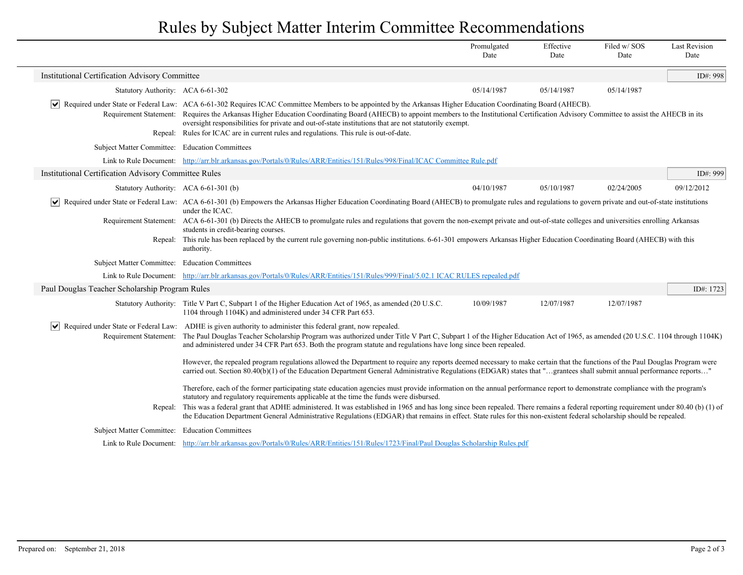## Rules by Subject Matter Interim Committee Recommendations

|                                                             |                                                                                                                                                                                                                                                                                                                                                                                                                                                                                                                                                                     | Promulgated<br>Date | Effective<br>Date | Filed w/SOS<br>Date | <b>Last Revision</b><br>Date |  |
|-------------------------------------------------------------|---------------------------------------------------------------------------------------------------------------------------------------------------------------------------------------------------------------------------------------------------------------------------------------------------------------------------------------------------------------------------------------------------------------------------------------------------------------------------------------------------------------------------------------------------------------------|---------------------|-------------------|---------------------|------------------------------|--|
| Institutional Certification Advisory Committee              |                                                                                                                                                                                                                                                                                                                                                                                                                                                                                                                                                                     |                     |                   |                     | ID#: 998                     |  |
| Statutory Authority: ACA 6-61-302                           |                                                                                                                                                                                                                                                                                                                                                                                                                                                                                                                                                                     | 05/14/1987          | 05/14/1987        | 05/14/1987          |                              |  |
|                                                             | √ Required under State or Federal Law: ACA 6-61-302 Requires ICAC Committee Members to be appointed by the Arkansas Higher Education Coordinating Board (AHECB).<br>Requirement Statement: Requires the Arkansas Higher Education Coordinating Board (AHECB) to appoint members to the Institutional Certification Advisory Committee to assist the AHECB in its<br>oversight responsibilities for private and out-of-state institutions that are not statutorily exempt.<br>Repeal: Rules for ICAC are in current rules and regulations. This rule is out-of-date. |                     |                   |                     |                              |  |
| Subject Matter Committee: Education Committees              |                                                                                                                                                                                                                                                                                                                                                                                                                                                                                                                                                                     |                     |                   |                     |                              |  |
|                                                             | Link to Rule Document: http://arr.blr.arkansas.gov/Portals/0/Rules/ARR/Entities/151/Rules/998/Final/ICAC Committee Rule.pdf                                                                                                                                                                                                                                                                                                                                                                                                                                         |                     |                   |                     |                              |  |
| <b>Institutional Certification Advisory Committee Rules</b> |                                                                                                                                                                                                                                                                                                                                                                                                                                                                                                                                                                     |                     |                   |                     | ID#: 999                     |  |
| Statutory Authority: ACA 6-61-301 (b)                       |                                                                                                                                                                                                                                                                                                                                                                                                                                                                                                                                                                     | 04/10/1987          | 05/10/1987        | 02/24/2005          | 09/12/2012                   |  |
| $ \mathbf{v} $                                              | Required under State or Federal Law: ACA 6-61-301 (b) Empowers the Arkansas Higher Education Coordinating Board (AHECB) to promulgate rules and regulations to govern private and out-of-state institutions<br>under the ICAC.                                                                                                                                                                                                                                                                                                                                      |                     |                   |                     |                              |  |
|                                                             | Requirement Statement: ACA 6-61-301 (b) Directs the AHECB to promulgate rules and regulations that govern the non-exempt private and out-of-state colleges and universities enrolling Arkansas<br>students in credit-bearing courses.<br>Repeal: This rule has been replaced by the current rule governing non-public institutions. 6-61-301 empowers Arkansas Higher Education Coordinating Board (AHECB) with this<br>authority.                                                                                                                                  |                     |                   |                     |                              |  |
| Subject Matter Committee: Education Committees              |                                                                                                                                                                                                                                                                                                                                                                                                                                                                                                                                                                     |                     |                   |                     |                              |  |
|                                                             | Link to Rule Document: http://arr.blr.arkansas.gov/Portals/0/Rules/ARR/Entities/151/Rules/999/Final/5.02.1 ICAC RULES repealed.pdf                                                                                                                                                                                                                                                                                                                                                                                                                                  |                     |                   |                     |                              |  |
| Paul Douglas Teacher Scholarship Program Rules              |                                                                                                                                                                                                                                                                                                                                                                                                                                                                                                                                                                     |                     |                   |                     | ID#: 1723                    |  |
|                                                             | Statutory Authority: Title V Part C, Subpart 1 of the Higher Education Act of 1965, as amended (20 U.S.C.<br>1104 through 1104K) and administered under 34 CFR Part 653.                                                                                                                                                                                                                                                                                                                                                                                            | 10/09/1987          | 12/07/1987        | 12/07/1987          |                              |  |
| ∣V∣                                                         | Required under State or Federal Law: ADHE is given authority to administer this federal grant, now repealed.<br>Requirement Statement: The Paul Douglas Teacher Scholarship Program was authorized under Title V Part C, Subpart 1 of the Higher Education Act of 1965, as amended (20 U.S.C. 1104 through 1104K)<br>and administered under 34 CFR Part 653. Both the program statute and regulations have long since been repealed.                                                                                                                                |                     |                   |                     |                              |  |
|                                                             | However, the repealed program regulations allowed the Department to require any reports deemed necessary to make certain that the functions of the Paul Douglas Program were<br>carried out. Section 80.40(b)(1) of the Education Department General Administrative Regulations (EDGAR) states that "grantees shall submit annual performance reports"                                                                                                                                                                                                              |                     |                   |                     |                              |  |
|                                                             | Therefore, each of the former participating state education agencies must provide information on the annual performance report to demonstrate compliance with the program's<br>statutory and regulatory requirements applicable at the time the funds were disbursed.                                                                                                                                                                                                                                                                                               |                     |                   |                     |                              |  |
|                                                             | Repeal: This was a federal grant that ADHE administered. It was established in 1965 and has long since been repealed. There remains a federal reporting requirement under 80.40 (b) (1) of<br>the Education Department General Administrative Regulations (EDGAR) that remains in effect. State rules for this non-existent federal scholarship should be repealed.                                                                                                                                                                                                 |                     |                   |                     |                              |  |
| Subject Matter Committee: Education Committees              |                                                                                                                                                                                                                                                                                                                                                                                                                                                                                                                                                                     |                     |                   |                     |                              |  |
|                                                             | Link to Rule Document: http://arr.blr.arkansas.gov/Portals/0/Rules/ARR/Entities/151/Rules/1723/Final/Paul Douglas Scholarship Rules.pdf                                                                                                                                                                                                                                                                                                                                                                                                                             |                     |                   |                     |                              |  |